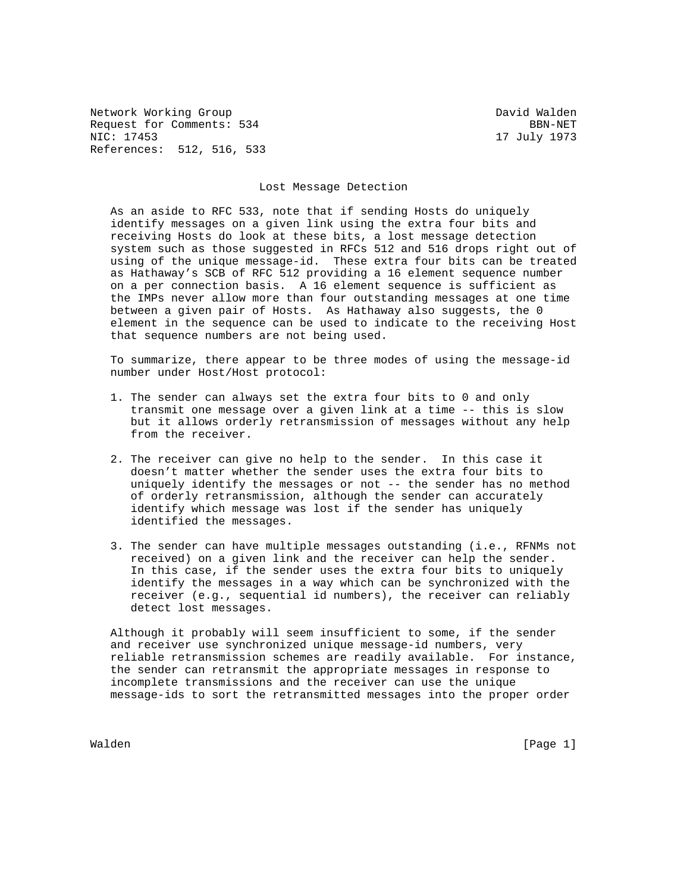Network Working Group David Walden Request for Comments: 534 BBN-NET NIC: 17453 17 July 1973 References: 512, 516, 533

## Lost Message Detection

 As an aside to RFC 533, note that if sending Hosts do uniquely identify messages on a given link using the extra four bits and receiving Hosts do look at these bits, a lost message detection system such as those suggested in RFCs 512 and 516 drops right out of using of the unique message-id. These extra four bits can be treated as Hathaway's SCB of RFC 512 providing a 16 element sequence number on a per connection basis. A 16 element sequence is sufficient as the IMPs never allow more than four outstanding messages at one time between a given pair of Hosts. As Hathaway also suggests, the 0 element in the sequence can be used to indicate to the receiving Host that sequence numbers are not being used.

 To summarize, there appear to be three modes of using the message-id number under Host/Host protocol:

- 1. The sender can always set the extra four bits to 0 and only transmit one message over a given link at a time -- this is slow but it allows orderly retransmission of messages without any help from the receiver.
- 2. The receiver can give no help to the sender. In this case it doesn't matter whether the sender uses the extra four bits to uniquely identify the messages or not -- the sender has no method of orderly retransmission, although the sender can accurately identify which message was lost if the sender has uniquely identified the messages.
- 3. The sender can have multiple messages outstanding (i.e., RFNMs not received) on a given link and the receiver can help the sender. In this case, if the sender uses the extra four bits to uniquely identify the messages in a way which can be synchronized with the receiver (e.g., sequential id numbers), the receiver can reliably detect lost messages.

 Although it probably will seem insufficient to some, if the sender and receiver use synchronized unique message-id numbers, very reliable retransmission schemes are readily available. For instance, the sender can retransmit the appropriate messages in response to incomplete transmissions and the receiver can use the unique message-ids to sort the retransmitted messages into the proper order

Walden [Page 1]